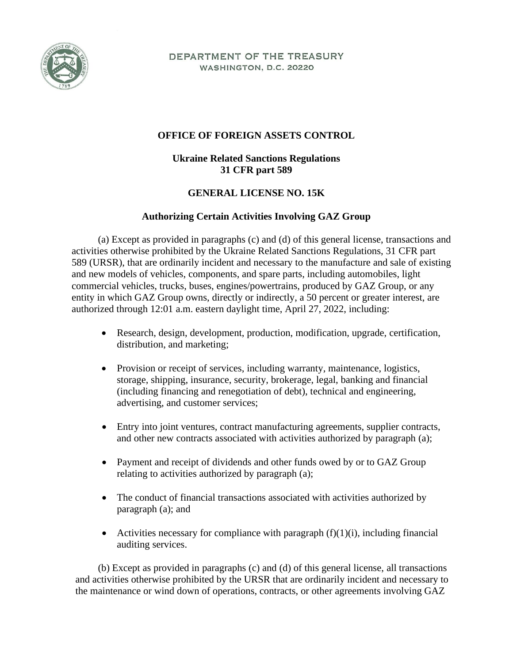

DEPARTMENT OF THE TREASURY WASHINGTON, D.C. 20220

## **OFFICE OF FOREIGN ASSETS CONTROL**

## **Ukraine Related Sanctions Regulations 31 CFR part 589**

## **GENERAL LICENSE NO. 15K**

## **Authorizing Certain Activities Involving GAZ Group**

(a) Except as provided in paragraphs (c) and (d) of this general license, transactions and activities otherwise prohibited by the Ukraine Related Sanctions Regulations, 31 CFR part 589 (URSR), that are ordinarily incident and necessary to the manufacture and sale of existing and new models of vehicles, components, and spare parts, including automobiles, light commercial vehicles, trucks, buses, engines/powertrains, produced by GAZ Group, or any entity in which GAZ Group owns, directly or indirectly, a 50 percent or greater interest, are authorized through 12:01 a.m. eastern daylight time, April 27, 2022, including:

- Research, design, development, production, modification, upgrade, certification, distribution, and marketing;
- Provision or receipt of services, including warranty, maintenance, logistics, storage, shipping, insurance, security, brokerage, legal, banking and financial (including financing and renegotiation of debt), technical and engineering, advertising, and customer services;
- Entry into joint ventures, contract manufacturing agreements, supplier contracts, and other new contracts associated with activities authorized by paragraph (a);
- Payment and receipt of dividends and other funds owed by or to GAZ Group relating to activities authorized by paragraph (a);
- The conduct of financial transactions associated with activities authorized by paragraph (a); and
- Activities necessary for compliance with paragraph  $(f)(1)(i)$ , including financial auditing services.

(b) Except as provided in paragraphs (c) and (d) of this general license, all transactions and activities otherwise prohibited by the URSR that are ordinarily incident and necessary to the maintenance or wind down of operations, contracts, or other agreements involving GAZ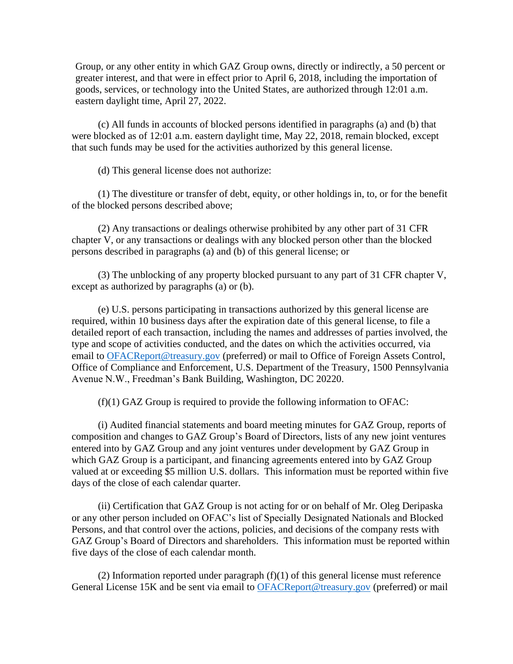Group, or any other entity in which GAZ Group owns, directly or indirectly, a 50 percent or greater interest, and that were in effect prior to April 6, 2018, including the importation of goods, services, or technology into the United States, are authorized through 12:01 a.m. eastern daylight time, April 27, 2022.

(c) All funds in accounts of blocked persons identified in paragraphs (a) and (b) that were blocked as of 12:01 a.m. eastern daylight time, May 22, 2018, remain blocked, except that such funds may be used for the activities authorized by this general license.

(d) This general license does not authorize:

(1) The divestiture or transfer of debt, equity, or other holdings in, to, or for the benefit of the blocked persons described above;

(2) Any transactions or dealings otherwise prohibited by any other part of 31 CFR chapter V, or any transactions or dealings with any blocked person other than the blocked persons described in paragraphs (a) and (b) of this general license; or

(3) The unblocking of any property blocked pursuant to any part of 31 CFR chapter V, except as authorized by paragraphs (a) or (b).

(e) U.S. persons participating in transactions authorized by this general license are required, within 10 business days after the expiration date of this general license, to file a detailed report of each transaction, including the names and addresses of parties involved, the type and scope of activities conducted, and the dates on which the activities occurred, via email to OFACReport@treasury.gov (preferred) or mail to Office of Foreign Assets Control, Office of Compliance and Enforcement, U.S. Department of the Treasury, 1500 Pennsylvania Avenue N.W., Freedman's Bank Building, Washington, DC 20220.

(f)(1) GAZ Group is required to provide the following information to OFAC:

(i) Audited financial statements and board meeting minutes for GAZ Group, reports of composition and changes to GAZ Group's Board of Directors, lists of any new joint ventures entered into by GAZ Group and any joint ventures under development by GAZ Group in which GAZ Group is a participant, and financing agreements entered into by GAZ Group valued at or exceeding \$5 million U.S. dollars. This information must be reported within five days of the close of each calendar quarter.

(ii) Certification that GAZ Group is not acting for or on behalf of Mr. Oleg Deripaska or any other person included on OFAC's list of Specially Designated Nationals and Blocked Persons, and that control over the actions, policies, and decisions of the company rests with GAZ Group's Board of Directors and shareholders. This information must be reported within five days of the close of each calendar month.

(2) Information reported under paragraph  $(f)(1)$  of this general license must reference General License 15K and be sent via email to OFACReport@treasury.gov (preferred) or mail